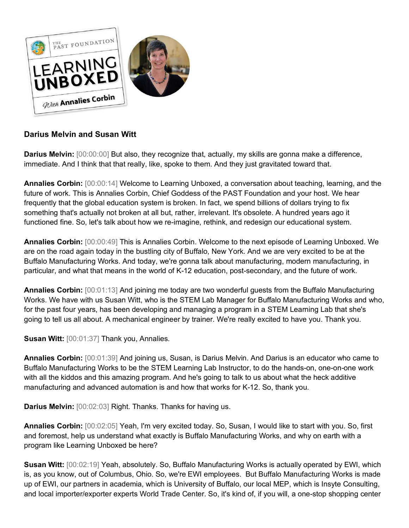

## **Darius Melvin and Susan Witt**

**Darius Melvin:**  $[00:00:00]$  But also, they recognize that, actually, my skills are gonna make a difference, immediate. And I think that that really, like, spoke to them. And they just gravitated toward that.

**Annalies Corbin:** [00:00:14] Welcome to Learning Unboxed, a conversation about teaching, learning, and the future of work. This is Annalies Corbin, Chief Goddess of the PAST Foundation and your host. We hear frequently that the global education system is broken. In fact, we spend billions of dollars trying to fix something that's actually not broken at all but, rather, irrelevant. It's obsolete. A hundred years ago it functioned fine. So, let's talk about how we re-imagine, rethink, and redesign our educational system.

**Annalies Corbin:** [00:00:49] This is Annalies Corbin. Welcome to the next episode of Learning Unboxed. We are on the road again today in the bustling city of Buffalo, New York. And we are very excited to be at the Buffalo Manufacturing Works. And today, we're gonna talk about manufacturing, modern manufacturing, in particular, and what that means in the world of K-12 education, post-secondary, and the future of work.

**Annalies Corbin:** [00:01:13] And joining me today are two wonderful guests from the Buffalo Manufacturing Works. We have with us Susan Witt, who is the STEM Lab Manager for Buffalo Manufacturing Works and who, for the past four years, has been developing and managing a program in a STEM Learning Lab that she's going to tell us all about. A mechanical engineer by trainer. We're really excited to have you. Thank you.

**Susan Witt:** [00:01:37] Thank you, Annalies.

**Annalies Corbin:** [00:01:39] And joining us, Susan, is Darius Melvin. And Darius is an educator who came to Buffalo Manufacturing Works to be the STEM Learning Lab Instructor, to do the hands-on, one-on-one work with all the kiddos and this amazing program. And he's going to talk to us about what the heck additive manufacturing and advanced automation is and how that works for K-12. So, thank you.

**Darius Melvin:** [00:02:03] Right. Thanks. Thanks for having us.

**Annalies Corbin:** [00:02:05] Yeah, I'm very excited today. So, Susan, I would like to start with you. So, first and foremost, help us understand what exactly is Buffalo Manufacturing Works, and why on earth with a program like Learning Unboxed be here?

**Susan Witt:** [00:02:19] Yeah, absolutely. So, Buffalo Manufacturing Works is actually operated by EWI, which is, as you know, out of Columbus, Ohio. So, we're EWI employees. But Buffalo Manufacturing Works is made up of EWI, our partners in academia, which is University of Buffalo, our local MEP, which is Insyte Consulting, and local importer/exporter experts World Trade Center. So, it's kind of, if you will, a one-stop shopping center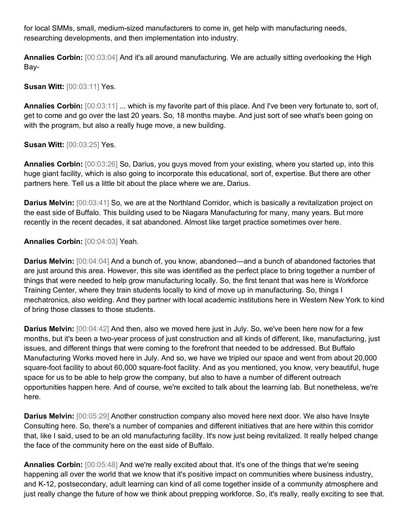for local SMMs, small, medium-sized manufacturers to come in, get help with manufacturing needs, researching developments, and then implementation into industry.

**Annalies Corbin:** [00:03:04] And it's all around manufacturing. We are actually sitting overlooking the High Bay-

## **Susan Witt:** [00:03:11] Yes.

**Annalies Corbin:** [00:03:11] ... which is my favorite part of this place. And I've been very fortunate to, sort of, get to come and go over the last 20 years. So, 18 months maybe. And just sort of see what's been going on with the program, but also a really huge move, a new building.

**Susan Witt:** [00:03:25] Yes.

**Annalies Corbin:** [00:03:26] So, Darius, you guys moved from your existing, where you started up, into this huge giant facility, which is also going to incorporate this educational, sort of, expertise. But there are other partners here. Tell us a little bit about the place where we are, Darius.

**Darius Melvin:**  $[00:03:41]$  So, we are at the Northland Corridor, which is basically a revitalization project on the east side of Buffalo. This building used to be Niagara Manufacturing for many, many years. But more recently in the recent decades, it sat abandoned. Almost like target practice sometimes over here.

**Annalies Corbin:** [00:04:03] Yeah.

**Darius Melvin:** [00:04:04] And a bunch of, you know, abandoned—and a bunch of abandoned factories that are just around this area. However, this site was identified as the perfect place to bring together a number of things that were needed to help grow manufacturing locally. So, the first tenant that was here is Workforce Training Center, where they train students locally to kind of move up in manufacturing. So, things I mechatronics, also welding. And they partner with local academic institutions here in Western New York to kind of bring those classes to those students.

**Darius Melvin:** [00:04:42] And then, also we moved here just in July. So, we've been here now for a few months, but it's been a two-year process of just construction and all kinds of different, like, manufacturing, just issues, and different things that were coming to the forefront that needed to be addressed. But Buffalo Manufacturing Works moved here in July. And so, we have we tripled our space and went from about 20,000 square-foot facility to about 60,000 square-foot facility. And as you mentioned, you know, very beautiful, huge space for us to be able to help grow the company, but also to have a number of different outreach opportunities happen here. And of course, we're excited to talk about the learning lab. But nonetheless, we're here.

**Darius Melvin:** [00:05:29] Another construction company also moved here next door. We also have Insyte Consulting here. So, there's a number of companies and different initiatives that are here within this corridor that, like I said, used to be an old manufacturing facility. It's now just being revitalized. It really helped change the face of the community here on the east side of Buffalo.

**Annalies Corbin:** [00:05:48] And we're really excited about that. It's one of the things that we're seeing happening all over the world that we know that it's positive impact on communities where business industry, and K-12, postsecondary, adult learning can kind of all come together inside of a community atmosphere and just really change the future of how we think about prepping workforce. So, it's really, really exciting to see that.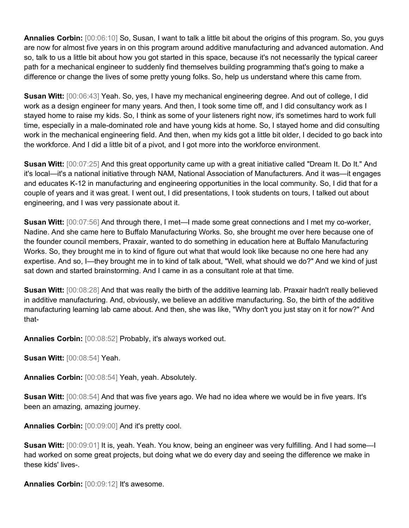**Annalies Corbin:** [00:06:10] So, Susan, I want to talk a little bit about the origins of this program. So, you guys are now for almost five years in on this program around additive manufacturing and advanced automation. And so, talk to us a little bit about how you got started in this space, because it's not necessarily the typical career path for a mechanical engineer to suddenly find themselves building programming that's going to make a difference or change the lives of some pretty young folks. So, help us understand where this came from.

**Susan Witt:** [00:06:43] Yeah. So, yes, I have my mechanical engineering degree. And out of college, I did work as a design engineer for many years. And then, I took some time off, and I did consultancy work as I stayed home to raise my kids. So, I think as some of your listeners right now, it's sometimes hard to work full time, especially in a male-dominated role and have young kids at home. So, I stayed home and did consulting work in the mechanical engineering field. And then, when my kids got a little bit older, I decided to go back into the workforce. And I did a little bit of a pivot, and I got more into the workforce environment.

**Susan Witt:** [00:07:25] And this great opportunity came up with a great initiative called "Dream It. Do It." And it's local—it's a national initiative through NAM, National Association of Manufacturers. And it was—it engages and educates K-12 in manufacturing and engineering opportunities in the local community. So, I did that for a couple of years and it was great. I went out, I did presentations, I took students on tours, I talked out about engineering, and I was very passionate about it.

**Susan Witt:** [00:07:56] And through there, I met—I made some great connections and I met my co-worker, Nadine. And she came here to Buffalo Manufacturing Works. So, she brought me over here because one of the founder council members, Praxair, wanted to do something in education here at Buffalo Manufacturing Works. So, they brought me in to kind of figure out what that would look like because no one here had any expertise. And so, I—they brought me in to kind of talk about, "Well, what should we do?" And we kind of just sat down and started brainstorming. And I came in as a consultant role at that time.

**Susan Witt:** [00:08:28] And that was really the birth of the additive learning lab. Praxair hadn't really believed in additive manufacturing. And, obviously, we believe an additive manufacturing. So, the birth of the additive manufacturing learning lab came about. And then, she was like, "Why don't you just stay on it for now?" And that-

**Annalies Corbin:** [00:08:52] Probably, it's always worked out.

**Susan Witt:** [00:08:54] Yeah.

**Annalies Corbin:** [00:08:54] Yeah, yeah. Absolutely.

**Susan Witt:** [00:08:54] And that was five years ago. We had no idea where we would be in five years. It's been an amazing, amazing journey.

**Annalies Corbin:** [00:09:00] And it's pretty cool.

**Susan Witt:** [00:09:01] It is, yeah. Yeah. You know, being an engineer was very fulfilling. And I had some—I had worked on some great projects, but doing what we do every day and seeing the difference we make in these kids' lives-.

**Annalies Corbin:** [00:09:12] It's awesome.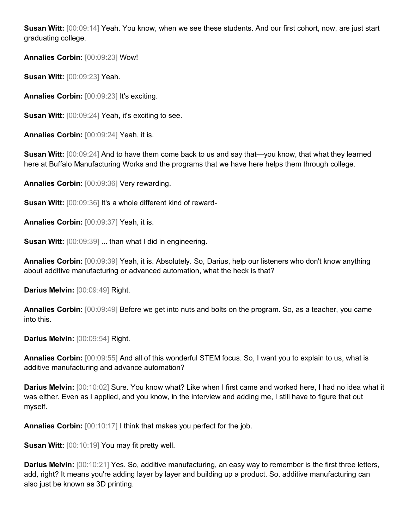**Susan Witt:** [00:09:14] Yeah. You know, when we see these students. And our first cohort, now, are just start graduating college.

**Annalies Corbin:** [00:09:23] Wow!

**Susan Witt:** [00:09:23] Yeah.

**Annalies Corbin:** [00:09:23] It's exciting.

**Susan Witt:** [00:09:24] Yeah, it's exciting to see.

**Annalies Corbin:** [00:09:24] Yeah, it is.

**Susan Witt:** [00:09:24] And to have them come back to us and say that—you know, that what they learned here at Buffalo Manufacturing Works and the programs that we have here helps them through college.

**Annalies Corbin:** [00:09:36] Very rewarding.

**Susan Witt:** [00:09:36] It's a whole different kind of reward-

**Annalies Corbin:** [00:09:37] Yeah, it is.

**Susan Witt:** [00:09:39] ... than what I did in engineering.

**Annalies Corbin:** [00:09:39] Yeah, it is. Absolutely. So, Darius, help our listeners who don't know anything about additive manufacturing or advanced automation, what the heck is that?

Darius Melvin: [00:09:49] Right.

**Annalies Corbin:** [00:09:49] Before we get into nuts and bolts on the program. So, as a teacher, you came into this.

**Darius Melvin:** [00:09:54] Right.

**Annalies Corbin:** [00:09:55] And all of this wonderful STEM focus. So, I want you to explain to us, what is additive manufacturing and advance automation?

**Darius Melvin:** [00:10:02] Sure. You know what? Like when I first came and worked here, I had no idea what it was either. Even as I applied, and you know, in the interview and adding me, I still have to figure that out myself.

**Annalies Corbin:** [00:10:17] I think that makes you perfect for the job.

**Susan Witt:** [00:10:19] You may fit pretty well.

**Darius Melvin:** [00:10:21] Yes. So, additive manufacturing, an easy way to remember is the first three letters, add, right? It means you're adding layer by layer and building up a product. So, additive manufacturing can also just be known as 3D printing.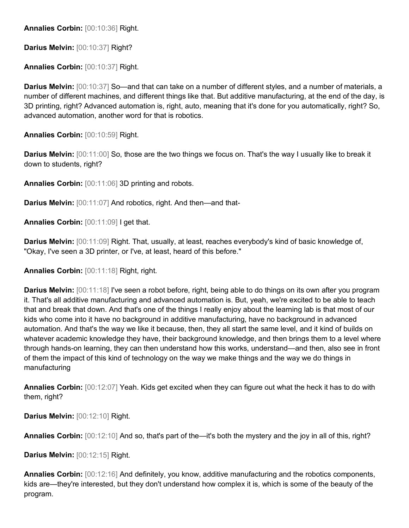**Annalies Corbin:** [00:10:36] Right.

**Darius Melvin:** [00:10:37] Right?

**Annalies Corbin:** [00:10:37] Right.

**Darius Melvin:** [00:10:37] So—and that can take on a number of different styles, and a number of materials, a number of different machines, and different things like that. But additive manufacturing, at the end of the day, is 3D printing, right? Advanced automation is, right, auto, meaning that it's done for you automatically, right? So, advanced automation, another word for that is robotics.

**Annalies Corbin:** [00:10:59] Right.

**Darius Melvin:** [00:11:00] So, those are the two things we focus on. That's the way I usually like to break it down to students, right?

**Annalies Corbin:** [00:11:06] 3D printing and robots.

**Darius Melvin:** [00:11:07] And robotics, right. And then—and that-

**Annalies Corbin:** [00:11:09] I get that.

**Darius Melvin:** [00:11:09] Right. That, usually, at least, reaches everybody's kind of basic knowledge of, "Okay, I've seen a 3D printer, or I've, at least, heard of this before."

**Annalies Corbin:** [00:11:18] Right, right.

**Darius Melvin:** [00:11:18] I've seen a robot before, right, being able to do things on its own after you program it. That's all additive manufacturing and advanced automation is. But, yeah, we're excited to be able to teach that and break that down. And that's one of the things I really enjoy about the learning lab is that most of our kids who come into it have no background in additive manufacturing, have no background in advanced automation. And that's the way we like it because, then, they all start the same level, and it kind of builds on whatever academic knowledge they have, their background knowledge, and then brings them to a level where through hands-on learning, they can then understand how this works, understand—and then, also see in front of them the impact of this kind of technology on the way we make things and the way we do things in manufacturing

**Annalies Corbin:** [00:12:07] Yeah. Kids get excited when they can figure out what the heck it has to do with them, right?

**Darius Melvin:** [00:12:10] Right.

**Annalies Corbin:** [00:12:10] And so, that's part of the—it's both the mystery and the joy in all of this, right?

**Darius Melvin:** [00:12:15] Right.

**Annalies Corbin:** [00:12:16] And definitely, you know, additive manufacturing and the robotics components, kids are—they're interested, but they don't understand how complex it is, which is some of the beauty of the program.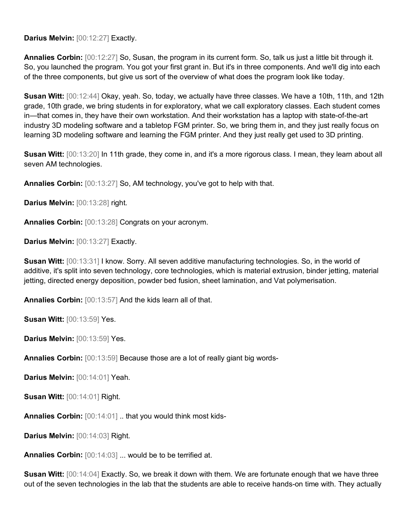**Darius Melvin:** [00:12:27] Exactly.

**Annalies Corbin:** [00:12:27] So, Susan, the program in its current form. So, talk us just a little bit through it. So, you launched the program. You got your first grant in. But it's in three components. And we'll dig into each of the three components, but give us sort of the overview of what does the program look like today.

**Susan Witt:** [00:12:44] Okay, yeah. So, today, we actually have three classes. We have a 10th, 11th, and 12th grade, 10th grade, we bring students in for exploratory, what we call exploratory classes. Each student comes in—that comes in, they have their own workstation. And their workstation has a laptop with state-of-the-art industry 3D modeling software and a tabletop FGM printer. So, we bring them in, and they just really focus on learning 3D modeling software and learning the FGM printer. And they just really get used to 3D printing.

**Susan Witt:** [00:13:20] In 11th grade, they come in, and it's a more rigorous class. I mean, they learn about all seven AM technologies.

**Annalies Corbin:** [00:13:27] So, AM technology, you've got to help with that.

**Darius Melvin:** [00:13:28] right.

**Annalies Corbin:** [00:13:28] Congrats on your acronym.

**Darius Melvin:** [00:13:27] Exactly.

**Susan Witt:** [00:13:31] I know. Sorry. All seven additive manufacturing technologies. So, in the world of additive, it's split into seven technology, core technologies, which is material extrusion, binder jetting, material jetting, directed energy deposition, powder bed fusion, sheet lamination, and Vat polymerisation.

**Annalies Corbin:** [00:13:57] And the kids learn all of that.

**Susan Witt:** [00:13:59] Yes.

**Darius Melvin:** [00:13:59] Yes.

**Annalies Corbin:** [00:13:59] Because those are a lot of really giant big words-

**Darius Melvin:** [00:14:01] Yeah.

**Susan Witt:** [00:14:01] Right.

**Annalies Corbin:** [00:14:01] .. that you would think most kids-

**Darius Melvin:** [00:14:03] Right.

**Annalies Corbin:** [00:14:03] ... would be to be terrified at.

**Susan Witt:** [00:14:04] Exactly. So, we break it down with them. We are fortunate enough that we have three out of the seven technologies in the lab that the students are able to receive hands-on time with. They actually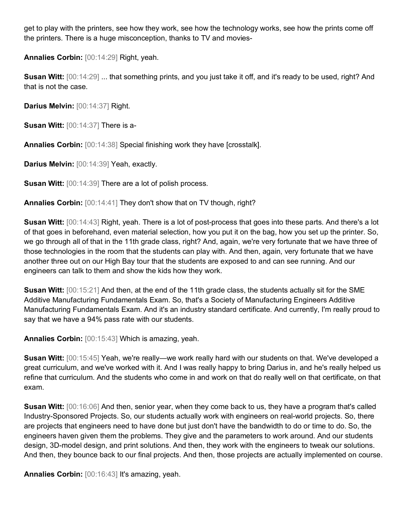get to play with the printers, see how they work, see how the technology works, see how the prints come off the printers. There is a huge misconception, thanks to TV and movies-

**Annalies Corbin:** [00:14:29] Right, yeah.

**Susan Witt:** [00:14:29] ... that something prints, and you just take it off, and it's ready to be used, right? And that is not the case.

**Darius Melvin:** [00:14:37] Right.

**Susan Witt:** [00:14:37] There is a-

**Annalies Corbin:** [00:14:38] Special finishing work they have [crosstalk].

**Darius Melvin:** [00:14:39] Yeah, exactly.

**Susan Witt:** [00:14:39] There are a lot of polish process.

**Annalies Corbin:** [00:14:41] They don't show that on TV though, right?

**Susan Witt:** [00:14:43] Right, yeah. There is a lot of post-process that goes into these parts. And there's a lot of that goes in beforehand, even material selection, how you put it on the bag, how you set up the printer. So, we go through all of that in the 11th grade class, right? And, again, we're very fortunate that we have three of those technologies in the room that the students can play with. And then, again, very fortunate that we have another three out on our High Bay tour that the students are exposed to and can see running. And our engineers can talk to them and show the kids how they work.

**Susan Witt:** [00:15:21] And then, at the end of the 11th grade class, the students actually sit for the SME Additive Manufacturing Fundamentals Exam. So, that's a Society of Manufacturing Engineers Additive Manufacturing Fundamentals Exam. And it's an industry standard certificate. And currently, I'm really proud to say that we have a 94% pass rate with our students.

**Annalies Corbin:** [00:15:43] Which is amazing, yeah.

**Susan Witt:** [00:15:45] Yeah, we're really—we work really hard with our students on that. We've developed a great curriculum, and we've worked with it. And I was really happy to bring Darius in, and he's really helped us refine that curriculum. And the students who come in and work on that do really well on that certificate, on that exam.

**Susan Witt:** [00:16:06] And then, senior year, when they come back to us, they have a program that's called Industry-Sponsored Projects. So, our students actually work with engineers on real-world projects. So, there are projects that engineers need to have done but just don't have the bandwidth to do or time to do. So, the engineers haven given them the problems. They give and the parameters to work around. And our students design, 3D-model design, and print solutions. And then, they work with the engineers to tweak our solutions. And then, they bounce back to our final projects. And then, those projects are actually implemented on course.

**Annalies Corbin:** [00:16:43] It's amazing, yeah.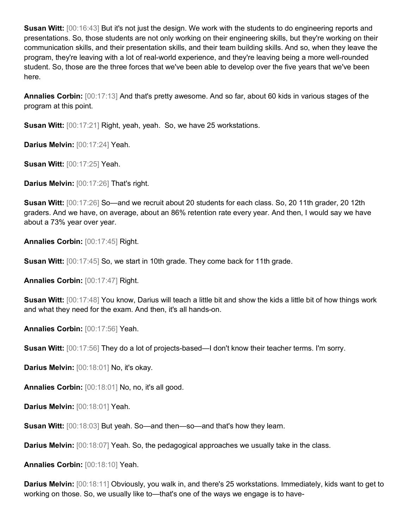**Susan Witt:** [00:16:43] But it's not just the design. We work with the students to do engineering reports and presentations. So, those students are not only working on their engineering skills, but they're working on their communication skills, and their presentation skills, and their team building skills. And so, when they leave the program, they're leaving with a lot of real-world experience, and they're leaving being a more well-rounded student. So, those are the three forces that we've been able to develop over the five years that we've been here.

**Annalies Corbin:** [00:17:13] And that's pretty awesome. And so far, about 60 kids in various stages of the program at this point.

**Susan Witt:** [00:17:21] Right, yeah, yeah. So, we have 25 workstations.

**Darius Melvin:** [00:17:24] Yeah.

**Susan Witt:** [00:17:25] Yeah.

**Darius Melvin:** [00:17:26] That's right.

**Susan Witt:** [00:17:26] So—and we recruit about 20 students for each class. So, 20 11th grader, 20 12th graders. And we have, on average, about an 86% retention rate every year. And then, I would say we have about a 73% year over year.

**Annalies Corbin:** [00:17:45] Right.

**Susan Witt:** [00:17:45] So, we start in 10th grade. They come back for 11th grade.

**Annalies Corbin:** [00:17:47] Right.

**Susan Witt:** [00:17:48] You know, Darius will teach a little bit and show the kids a little bit of how things work and what they need for the exam. And then, it's all hands-on.

**Annalies Corbin:** [00:17:56] Yeah.

**Susan Witt:** [00:17:56] They do a lot of projects-based—I don't know their teacher terms. I'm sorry.

**Darius Melvin:** [00:18:01] No, it's okay.

**Annalies Corbin:** [00:18:01] No, no, it's all good.

**Darius Melvin:** [00:18:01] Yeah.

**Susan Witt:** [00:18:03] But yeah. So—and then—so—and that's how they learn.

**Darius Melvin:**  $[00:18:07]$  Yeah. So, the pedagogical approaches we usually take in the class.

**Annalies Corbin:** [00:18:10] Yeah.

**Darius Melvin:** [00:18:11] Obviously, you walk in, and there's 25 workstations. Immediately, kids want to get to working on those. So, we usually like to—that's one of the ways we engage is to have-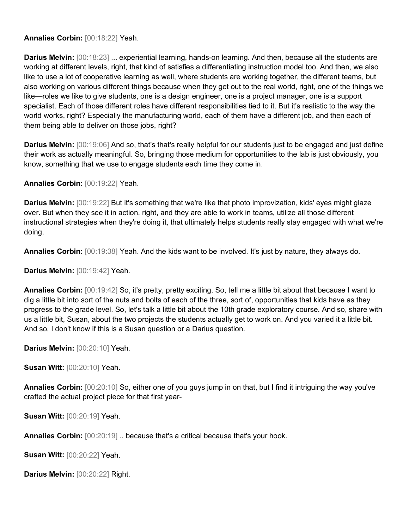## **Annalies Corbin:** [00:18:22] Yeah.

**Darius Melvin:** [00:18:23] ... experiential learning, hands-on learning. And then, because all the students are working at different levels, right, that kind of satisfies a differentiating instruction model too. And then, we also like to use a lot of cooperative learning as well, where students are working together, the different teams, but also working on various different things because when they get out to the real world, right, one of the things we like—roles we like to give students, one is a design engineer, one is a project manager, one is a support specialist. Each of those different roles have different responsibilities tied to it. But it's realistic to the way the world works, right? Especially the manufacturing world, each of them have a different job, and then each of them being able to deliver on those jobs, right?

**Darius Melvin:** [00:19:06] And so, that's that's really helpful for our students just to be engaged and just define their work as actually meaningful. So, bringing those medium for opportunities to the lab is just obviously, you know, something that we use to engage students each time they come in.

**Annalies Corbin:** [00:19:22] Yeah.

**Darius Melvin:** [00:19:22] But it's something that we're like that photo improvization, kids' eyes might glaze over. But when they see it in action, right, and they are able to work in teams, utilize all those different instructional strategies when they're doing it, that ultimately helps students really stay engaged with what we're doing.

**Annalies Corbin:** [00:19:38] Yeah. And the kids want to be involved. It's just by nature, they always do.

**Darius Melvin:** [00:19:42] Yeah.

**Annalies Corbin:** [00:19:42] So, it's pretty, pretty exciting. So, tell me a little bit about that because I want to dig a little bit into sort of the nuts and bolts of each of the three, sort of, opportunities that kids have as they progress to the grade level. So, let's talk a little bit about the 10th grade exploratory course. And so, share with us a little bit, Susan, about the two projects the students actually get to work on. And you varied it a little bit. And so, I don't know if this is a Susan question or a Darius question.

**Darius Melvin:** [00:20:10] Yeah.

**Susan Witt:** [00:20:10] Yeah.

**Annalies Corbin:** [00:20:10] So, either one of you guys jump in on that, but I find it intriguing the way you've crafted the actual project piece for that first year-

**Susan Witt:** [00:20:19] Yeah.

**Annalies Corbin:** [00:20:19] .. because that's a critical because that's your hook.

**Susan Witt:** [00:20:22] Yeah.

**Darius Melvin:** [00:20:22] Right.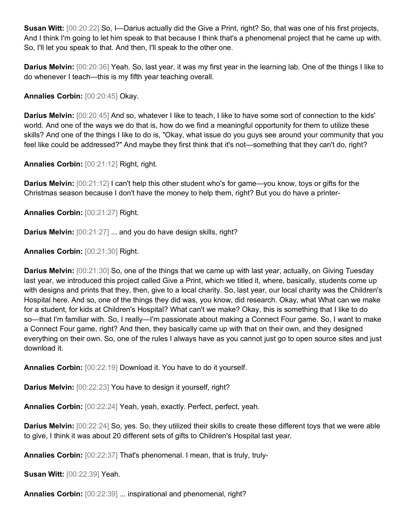**Susan Witt:** [00:20:22] So, I—Darius actually did the Give a Print, right? So, that was one of his first projects, And I think I'm going to let him speak to that because I think that's a phenomenal project that he came up with. So, I'll let you speak to that. And then, I'll speak to the other one.

**Darius Melvin:** [00:20:36] Yeah. So, last year, it was my first year in the learning lab. One of the things I like to do whenever I teach—this is my fifth year teaching overall.

**Annalies Corbin:** [00:20:45] Okay.

**Darius Melvin:** [00:20:45] And so, whatever I like to teach, I like to have some sort of connection to the kids' world. And one of the ways we do that is, how do we find a meaningful opportunity for them to utilize these skills? And one of the things I like to do is, "Okay, what issue do you guys see around your community that you feel like could be addressed?" And maybe they first think that it's not—something that they can't do, right?

**Annalies Corbin:** [00:21:12] Right, right.

**Darius Melvin:** [00:21:12] I can't help this other student who's for game—you know, toys or gifts for the Christmas season because I don't have the money to help them, right? But you do have a printer-

**Annalies Corbin:** [00:21:27] Right.

**Darius Melvin:**  $[00:21:27]$  ... and you do have design skills, right?

**Annalies Corbin:** [00:21:30] Right.

**Darius Melvin:** [00:21:30] So, one of the things that we came up with last year, actually, on Giving Tuesday last year, we introduced this project called Give a Print, which we titled it, where, basically, students come up with designs and prints that they, then, give to a local charity. So, last year, our local charity was the Children's Hospital here. And so, one of the things they did was, you know, did research. Okay, what What can we make for a student, for kids at Children's Hospital? What can't we make? Okay, this is something that I like to do so—that I'm familiar with. So, I really—I'm passionate about making a Connect Four game. So, I want to make a Connect Four game, right? And then, they basically came up with that on their own, and they designed everything on their own. So, one of the rules I always have as you cannot just go to open source sites and just download it.

**Annalies Corbin:** [00:22:19] Download it. You have to do it yourself.

**Darius Melvin:** [00:22:23] You have to design it yourself, right?

**Annalies Corbin:** [00:22:24] Yeah, yeah, exactly. Perfect, perfect, yeah.

**Darius Melvin:** [00:22:24] So, yes. So, they utilized their skills to create these different toys that we were able to give, I think it was about 20 different sets of gifts to Children's Hospital last year.

**Annalies Corbin:** [00:22:37] That's phenomenal. I mean, that is truly, truly-

**Susan Witt:** [00:22:39] Yeah.

**Annalies Corbin:** [00:22:39] ... inspirational and phenomenal, right?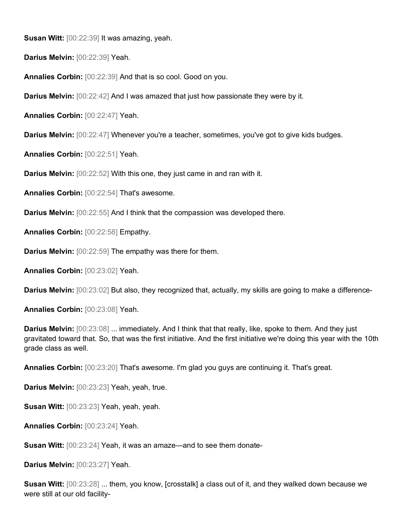**Susan Witt:** [00:22:39] It was amazing, yeah.

**Darius Melvin:** [00:22:39] Yeah.

**Annalies Corbin:** [00:22:39] And that is so cool. Good on you.

**Darius Melvin:** [00:22:42] And I was amazed that just how passionate they were by it.

**Annalies Corbin:** [00:22:47] Yeah.

**Darius Melvin:** [00:22:47] Whenever you're a teacher, sometimes, you've got to give kids budges.

**Annalies Corbin:** [00:22:51] Yeah.

**Darius Melvin:** [00:22:52] With this one, they just came in and ran with it.

**Annalies Corbin:** [00:22:54] That's awesome.

**Darius Melvin:** [00:22:55] And I think that the compassion was developed there.

**Annalies Corbin:** [00:22:58] Empathy.

**Darius Melvin:** [00:22:59] The empathy was there for them.

**Annalies Corbin:** [00:23:02] Yeah.

**Darius Melvin:** [00:23:02] But also, they recognized that, actually, my skills are going to make a difference-

**Annalies Corbin:** [00:23:08] Yeah.

**Darius Melvin:** [00:23:08] ... immediately. And I think that that really, like, spoke to them. And they just gravitated toward that. So, that was the first initiative. And the first initiative we're doing this year with the 10th grade class as well.

**Annalies Corbin:** [00:23:20] That's awesome. I'm glad you guys are continuing it. That's great.

**Darius Melvin:** [00:23:23] Yeah, yeah, true.

**Susan Witt:** [00:23:23] Yeah, yeah, yeah.

**Annalies Corbin:** [00:23:24] Yeah.

**Susan Witt:** [00:23:24] Yeah, it was an amaze—and to see them donate-

**Darius Melvin:** [00:23:27] Yeah.

**Susan Witt:** [00:23:28] ... them, you know, [crosstalk] a class out of it, and they walked down because we were still at our old facility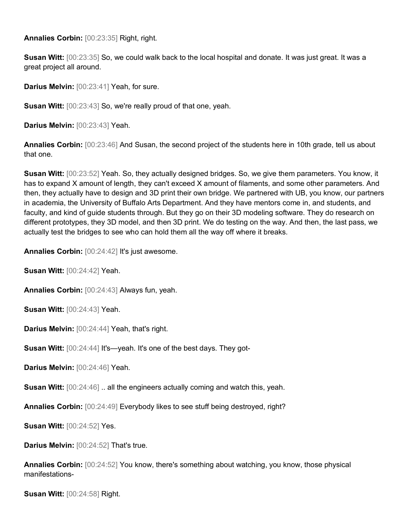**Annalies Corbin:** [00:23:35] Right, right.

**Susan Witt:** [00:23:35] So, we could walk back to the local hospital and donate. It was just great. It was a great project all around.

**Darius Melvin:** [00:23:41] Yeah, for sure.

**Susan Witt:** [00:23:43] So, we're really proud of that one, yeah.

**Darius Melvin:** [00:23:43] Yeah.

**Annalies Corbin:** [00:23:46] And Susan, the second project of the students here in 10th grade, tell us about that one.

**Susan Witt:** [00:23:52] Yeah. So, they actually designed bridges. So, we give them parameters. You know, it has to expand X amount of length, they can't exceed X amount of filaments, and some other parameters. And then, they actually have to design and 3D print their own bridge. We partnered with UB, you know, our partners in academia, the University of Buffalo Arts Department. And they have mentors come in, and students, and faculty, and kind of guide students through. But they go on their 3D modeling software. They do research on different prototypes, they 3D model, and then 3D print. We do testing on the way. And then, the last pass, we actually test the bridges to see who can hold them all the way off where it breaks.

**Annalies Corbin:** [00:24:42] It's just awesome.

**Susan Witt:** [00:24:42] Yeah.

**Annalies Corbin:** [00:24:43] Always fun, yeah.

**Susan Witt:** [00:24:43] Yeah.

**Darius Melvin:** [00:24:44] Yeah, that's right.

**Susan Witt:** [00:24:44] It's—yeah. It's one of the best days. They got-

**Darius Melvin:** [00:24:46] Yeah.

**Susan Witt:**  $[00:24:46]$ . all the engineers actually coming and watch this, yeah.

**Annalies Corbin:** [00:24:49] Everybody likes to see stuff being destroyed, right?

**Susan Witt:** [00:24:52] Yes.

**Darius Melvin:** [00:24:52] That's true.

**Annalies Corbin:** [00:24:52] You know, there's something about watching, you know, those physical manifestations-

**Susan Witt:** [00:24:58] Right.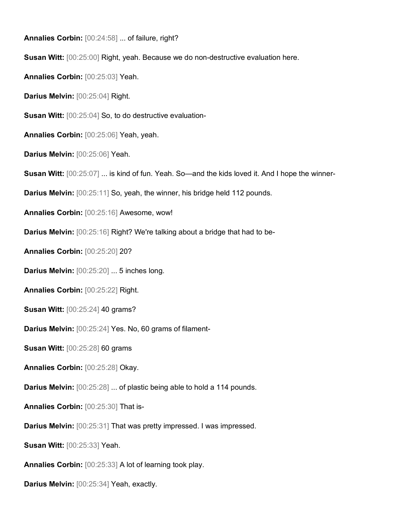**Annalies Corbin:** [00:24:58] ... of failure, right? **Susan Witt:** [00:25:00] Right, yeah. Because we do non-destructive evaluation here. **Annalies Corbin:** [00:25:03] Yeah. **Darius Melvin:** [00:25:04] Right. **Susan Witt:** [00:25:04] So, to do destructive evaluation-**Annalies Corbin:** [00:25:06] Yeah, yeah. **Darius Melvin:** [00:25:06] Yeah. **Susan Witt:** [00:25:07] ... is kind of fun. Yeah. So—and the kids loved it. And I hope the winner-**Darius Melvin:** [00:25:11] So, yeah, the winner, his bridge held 112 pounds. **Annalies Corbin:** [00:25:16] Awesome, wow! **Darius Melvin:** [00:25:16] Right? We're talking about a bridge that had to be-**Annalies Corbin:** [00:25:20] 20? **Darius Melvin:** [00:25:20] ... 5 inches long. **Annalies Corbin:** [00:25:22] Right. **Susan Witt:** [00:25:24] 40 grams? **Darius Melvin:** [00:25:24] Yes. No, 60 grams of filament-**Susan Witt:** [00:25:28] 60 grams **Annalies Corbin:** [00:25:28] Okay. **Darius Melvin:** [00:25:28] ... of plastic being able to hold a 114 pounds. **Annalies Corbin:** [00:25:30] That is-**Darius Melvin:** [00:25:31] That was pretty impressed. I was impressed. **Susan Witt:** [00:25:33] Yeah. **Annalies Corbin:** [00:25:33] A lot of learning took play.

**Darius Melvin:** [00:25:34] Yeah, exactly.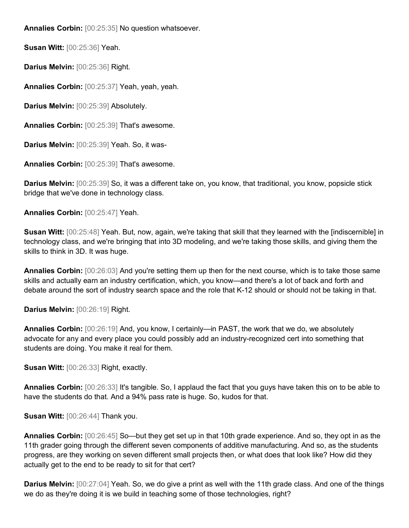**Annalies Corbin:** [00:25:35] No question whatsoever.

**Susan Witt:** [00:25:36] Yeah.

**Darius Melvin:** [00:25:36] Right.

**Annalies Corbin:** [00:25:37] Yeah, yeah, yeah.

**Darius Melvin:** [00:25:39] Absolutely.

**Annalies Corbin:** [00:25:39] That's awesome.

**Darius Melvin:** [00:25:39] Yeah. So, it was-

**Annalies Corbin:** [00:25:39] That's awesome.

**Darius Melvin:** [00:25:39] So, it was a different take on, you know, that traditional, you know, popsicle stick bridge that we've done in technology class.

**Annalies Corbin:** [00:25:47] Yeah.

**Susan Witt:** [00:25:48] Yeah. But, now, again, we're taking that skill that they learned with the [indiscernible] in technology class, and we're bringing that into 3D modeling, and we're taking those skills, and giving them the skills to think in 3D. It was huge.

**Annalies Corbin:** [00:26:03] And you're setting them up then for the next course, which is to take those same skills and actually earn an industry certification, which, you know—and there's a lot of back and forth and debate around the sort of industry search space and the role that K-12 should or should not be taking in that.

**Darius Melvin:** [00:26:19] Right.

**Annalies Corbin:** [00:26:19] And, you know, I certainly—in PAST, the work that we do, we absolutely advocate for any and every place you could possibly add an industry-recognized cert into something that students are doing. You make it real for them.

**Susan Witt:** [00:26:33] Right, exactly.

**Annalies Corbin:** [00:26:33] It's tangible. So, I applaud the fact that you guys have taken this on to be able to have the students do that. And a 94% pass rate is huge. So, kudos for that.

**Susan Witt:** [00:26:44] Thank you.

**Annalies Corbin:** [00:26:45] So—but they get set up in that 10th grade experience. And so, they opt in as the 11th grader going through the different seven components of additive manufacturing. And so, as the students progress, are they working on seven different small projects then, or what does that look like? How did they actually get to the end to be ready to sit for that cert?

**Darius Melvin:** [00:27:04] Yeah. So, we do give a print as well with the 11th grade class. And one of the things we do as they're doing it is we build in teaching some of those technologies, right?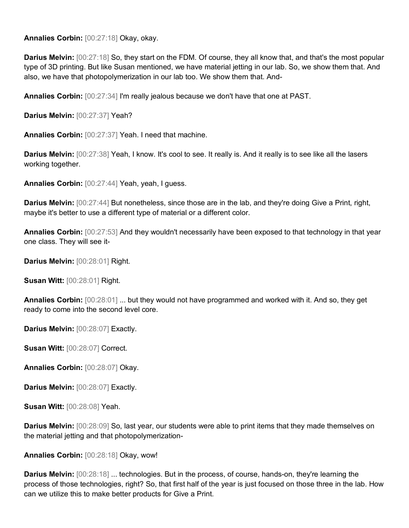**Annalies Corbin:** [00:27:18] Okay, okay.

**Darius Melvin:** [00:27:18] So, they start on the FDM. Of course, they all know that, and that's the most popular type of 3D printing. But like Susan mentioned, we have material jetting in our lab. So, we show them that. And also, we have that photopolymerization in our lab too. We show them that. And-

**Annalies Corbin:** [00:27:34] I'm really jealous because we don't have that one at PAST.

**Darius Melvin:** [00:27:37] Yeah?

**Annalies Corbin:** [00:27:37] Yeah. I need that machine.

**Darius Melvin:** [00:27:38] Yeah, I know. It's cool to see. It really is. And it really is to see like all the lasers working together.

**Annalies Corbin:** [00:27:44] Yeah, yeah, I guess.

**Darius Melvin:** [00:27:44] But nonetheless, since those are in the lab, and they're doing Give a Print, right, maybe it's better to use a different type of material or a different color.

**Annalies Corbin:** [00:27:53] And they wouldn't necessarily have been exposed to that technology in that year one class. They will see it-

**Darius Melvin:** [00:28:01] Right.

**Susan Witt:** [00:28:01] Right.

**Annalies Corbin:** [00:28:01] ... but they would not have programmed and worked with it. And so, they get ready to come into the second level core.

**Darius Melvin:** [00:28:07] Exactly.

**Susan Witt:** [00:28:07] Correct.

**Annalies Corbin:** [00:28:07] Okay.

**Darius Melvin:** [00:28:07] Exactly.

**Susan Witt:** [00:28:08] Yeah.

**Darius Melvin:** [00:28:09] So, last year, our students were able to print items that they made themselves on the material jetting and that photopolymerization-

**Annalies Corbin:** [00:28:18] Okay, wow!

**Darius Melvin:** [00:28:18] ... technologies. But in the process, of course, hands-on, they're learning the process of those technologies, right? So, that first half of the year is just focused on those three in the lab. How can we utilize this to make better products for Give a Print.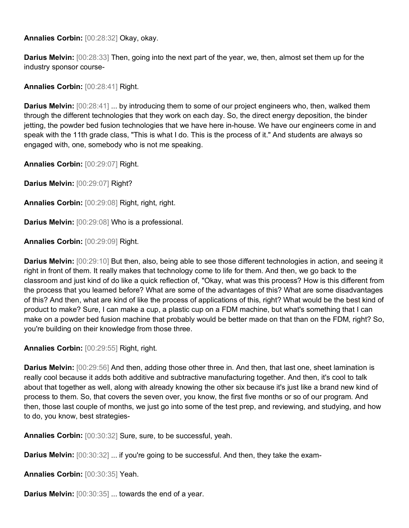**Annalies Corbin:** [00:28:32] Okay, okay.

**Darius Melvin:** [00:28:33] Then, going into the next part of the year, we, then, almost set them up for the industry sponsor course-

**Annalies Corbin:** [00:28:41] Right.

**Darius Melvin:** [00:28:41] ... by introducing them to some of our project engineers who, then, walked them through the different technologies that they work on each day. So, the direct energy deposition, the binder jetting, the powder bed fusion technologies that we have here in-house. We have our engineers come in and speak with the 11th grade class, "This is what I do. This is the process of it." And students are always so engaged with, one, somebody who is not me speaking.

**Annalies Corbin:** [00:29:07] Right.

**Darius Melvin:** [00:29:07] Right?

**Annalies Corbin:** [00:29:08] Right, right, right.

**Darius Melvin:** [00:29:08] Who is a professional.

**Annalies Corbin:** [00:29:09] Right.

**Darius Melvin:** [00:29:10] But then, also, being able to see those different technologies in action, and seeing it right in front of them. It really makes that technology come to life for them. And then, we go back to the classroom and just kind of do like a quick reflection of, "Okay, what was this process? How is this different from the process that you learned before? What are some of the advantages of this? What are some disadvantages of this? And then, what are kind of like the process of applications of this, right? What would be the best kind of product to make? Sure, I can make a cup, a plastic cup on a FDM machine, but what's something that I can make on a powder bed fusion machine that probably would be better made on that than on the FDM, right? So, you're building on their knowledge from those three.

**Annalies Corbin:** [00:29:55] Right, right.

**Darius Melvin:** [00:29:56] And then, adding those other three in. And then, that last one, sheet lamination is really cool because it adds both additive and subtractive manufacturing together. And then, it's cool to talk about that together as well, along with already knowing the other six because it's just like a brand new kind of process to them. So, that covers the seven over, you know, the first five months or so of our program. And then, those last couple of months, we just go into some of the test prep, and reviewing, and studying, and how to do, you know, best strategies-

**Annalies Corbin:** [00:30:32] Sure, sure, to be successful, yeah.

**Darius Melvin:**  $[00:30:32]$  ... if you're going to be successful. And then, they take the exam-

**Annalies Corbin:** [00:30:35] Yeah.

**Darius Melvin:** [00:30:35] ... towards the end of a year.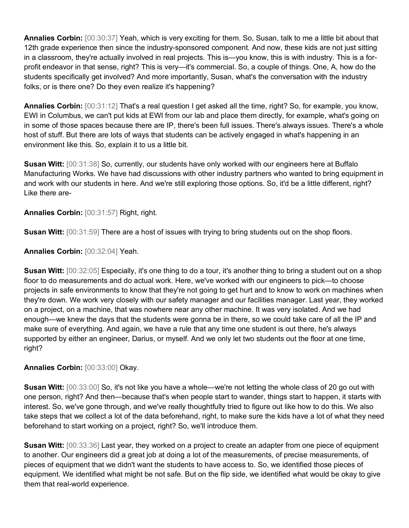**Annalies Corbin:** [00:30:37] Yeah, which is very exciting for them. So, Susan, talk to me a little bit about that 12th grade experience then since the industry-sponsored component. And now, these kids are not just sitting in a classroom, they're actually involved in real projects. This is—you know, this is with industry. This is a forprofit endeavor in that sense, right? This is very—it's commercial. So, a couple of things. One, A, how do the students specifically get involved? And more importantly, Susan, what's the conversation with the industry folks, or is there one? Do they even realize it's happening?

**Annalies Corbin:** [00:31:12] That's a real question I get asked all the time, right? So, for example, you know, EWI in Columbus, we can't put kids at EWI from our lab and place them directly, for example, what's going on in some of those spaces because there are IP, there's been full issues. There's always issues. There's a whole host of stuff. But there are lots of ways that students can be actively engaged in what's happening in an environment like this. So, explain it to us a little bit.

**Susan Witt:** [00:31:38] So, currently, our students have only worked with our engineers here at Buffalo Manufacturing Works. We have had discussions with other industry partners who wanted to bring equipment in and work with our students in here. And we're still exploring those options. So, it'd be a little different, right? Like there are-

**Annalies Corbin:** [00:31:57] Right, right.

**Susan Witt:** [00:31:59] There are a host of issues with trying to bring students out on the shop floors.

**Annalies Corbin:** [00:32:04] Yeah.

**Susan Witt:** [00:32:05] Especially, it's one thing to do a tour, it's another thing to bring a student out on a shop floor to do measurements and do actual work. Here, we've worked with our engineers to pick—to choose projects in safe environments to know that they're not going to get hurt and to know to work on machines when they're down. We work very closely with our safety manager and our facilities manager. Last year, they worked on a project, on a machine, that was nowhere near any other machine. It was very isolated. And we had enough—we knew the days that the students were gonna be in there, so we could take care of all the IP and make sure of everything. And again, we have a rule that any time one student is out there, he's always supported by either an engineer, Darius, or myself. And we only let two students out the floor at one time, right?

**Annalies Corbin:** [00:33:00] Okay.

**Susan Witt:** [00:33:00] So, it's not like you have a whole—we're not letting the whole class of 20 go out with one person, right? And then—because that's when people start to wander, things start to happen, it starts with interest. So, we've gone through, and we've really thoughtfully tried to figure out like how to do this. We also take steps that we collect a lot of the data beforehand, right, to make sure the kids have a lot of what they need beforehand to start working on a project, right? So, we'll introduce them.

**Susan Witt:** [00:33:36] Last year, they worked on a project to create an adapter from one piece of equipment to another. Our engineers did a great job at doing a lot of the measurements, of precise measurements, of pieces of equipment that we didn't want the students to have access to. So, we identified those pieces of equipment. We identified what might be not safe. But on the flip side, we identified what would be okay to give them that real-world experience.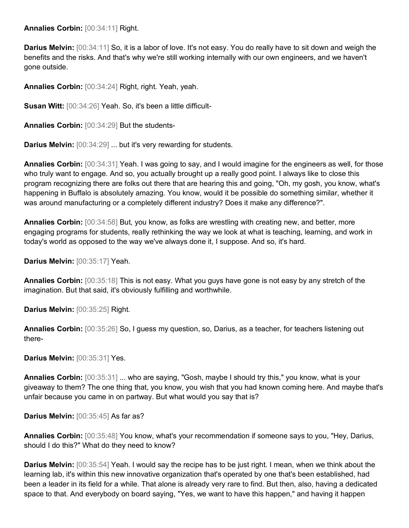**Annalies Corbin:** [00:34:11] Right.

**Darius Melvin:** [00:34:11] So, it is a labor of love. It's not easy. You do really have to sit down and weigh the benefits and the risks. And that's why we're still working internally with our own engineers, and we haven't gone outside.

**Annalies Corbin:** [00:34:24] Right, right. Yeah, yeah.

**Susan Witt:** [00:34:26] Yeah. So, it's been a little difficult-

**Annalies Corbin:** [00:34:29] But the students-

**Darius Melvin:** [00:34:29] ... but it's very rewarding for students.

**Annalies Corbin:** [00:34:31] Yeah. I was going to say, and I would imagine for the engineers as well, for those who truly want to engage. And so, you actually brought up a really good point. I always like to close this program recognizing there are folks out there that are hearing this and going, "Oh, my gosh, you know, what's happening in Buffalo is absolutely amazing. You know, would it be possible do something similar, whether it was around manufacturing or a completely different industry? Does it make any difference?".

**Annalies Corbin:** [00:34:58] But, you know, as folks are wrestling with creating new, and better, more engaging programs for students, really rethinking the way we look at what is teaching, learning, and work in today's world as opposed to the way we've always done it, I suppose. And so, it's hard.

**Darius Melvin:** [00:35:17] Yeah.

**Annalies Corbin:** [00:35:18] This is not easy. What you guys have gone is not easy by any stretch of the imagination. But that said, it's obviously fulfilling and worthwhile.

**Darius Melvin:** [00:35:25] Right.

**Annalies Corbin:** [00:35:26] So, I guess my question, so, Darius, as a teacher, for teachers listening out there-

**Darius Melvin:** [00:35:31] Yes.

**Annalies Corbin:** [00:35:31] ... who are saying, "Gosh, maybe I should try this," you know, what is your giveaway to them? The one thing that, you know, you wish that you had known coming here. And maybe that's unfair because you came in on partway. But what would you say that is?

**Darius Melvin:** [00:35:45] As far as?

**Annalies Corbin:** [00:35:48] You know, what's your recommendation if someone says to you, "Hey, Darius, should I do this?" What do they need to know?

**Darius Melvin:** [00:35:54] Yeah. I would say the recipe has to be just right. I mean, when we think about the learning lab, it's within this new innovative organization that's operated by one that's been established, had been a leader in its field for a while. That alone is already very rare to find. But then, also, having a dedicated space to that. And everybody on board saying, "Yes, we want to have this happen," and having it happen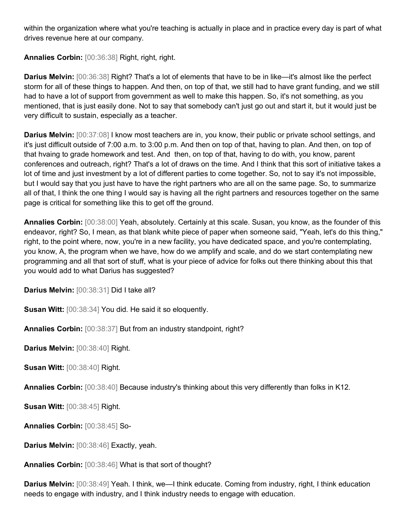within the organization where what you're teaching is actually in place and in practice every day is part of what drives revenue here at our company.

**Annalies Corbin:** [00:36:38] Right, right, right.

**Darius Melvin:** [00:36:38] Right? That's a lot of elements that have to be in like—it's almost like the perfect storm for all of these things to happen. And then, on top of that, we still had to have grant funding, and we still had to have a lot of support from government as well to make this happen. So, it's not something, as you mentioned, that is just easily done. Not to say that somebody can't just go out and start it, but it would just be very difficult to sustain, especially as a teacher.

**Darius Melvin:** [00:37:08] I know most teachers are in, you know, their public or private school settings, and it's just difficult outside of 7:00 a.m. to 3:00 p.m. And then on top of that, having to plan. And then, on top of that hvaing to grade homework and test. And then, on top of that, having to do with, you know, parent conferences and outreach, right? That's a lot of draws on the time. And I think that this sort of initiative takes a lot of time and just investment by a lot of different parties to come together. So, not to say it's not impossible, but I would say that you just have to have the right partners who are all on the same page. So, to summarize all of that, I think the one thing I would say is having all the right partners and resources together on the same page is critical for something like this to get off the ground.

**Annalies Corbin:** [00:38:00] Yeah, absolutely. Certainly at this scale. Susan, you know, as the founder of this endeavor, right? So, I mean, as that blank white piece of paper when someone said, "Yeah, let's do this thing," right, to the point where, now, you're in a new facility, you have dedicated space, and you're contemplating, you know, A, the program when we have, how do we amplify and scale, and do we start contemplating new programming and all that sort of stuff, what is your piece of advice for folks out there thinking about this that you would add to what Darius has suggested?

**Darius Melvin:** [00:38:31] Did I take all?

**Susan Witt:** [00:38:34] You did. He said it so eloquently.

**Annalies Corbin:** [00:38:37] But from an industry standpoint, right?

**Darius Melvin:** [00:38:40] Right.

**Susan Witt:** [00:38:40] Right.

**Annalies Corbin:** [00:38:40] Because industry's thinking about this very differently than folks in K12.

**Susan Witt:** [00:38:45] Right.

**Annalies Corbin:** [00:38:45] So-

**Darius Melvin:** [00:38:46] Exactly, yeah.

**Annalies Corbin:** [00:38:46] What is that sort of thought?

**Darius Melvin:** [00:38:49] Yeah. I think, we—I think educate. Coming from industry, right, I think education needs to engage with industry, and I think industry needs to engage with education.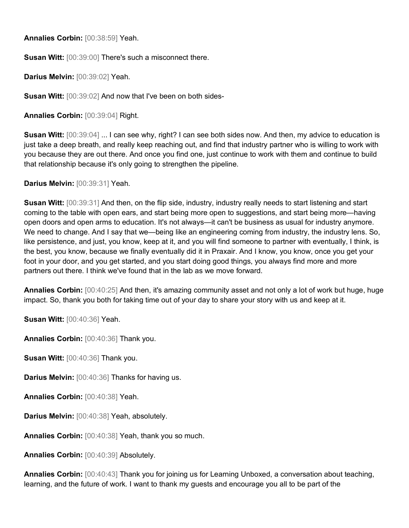**Annalies Corbin:** [00:38:59] Yeah.

**Susan Witt:** [00:39:00] There's such a misconnect there.

**Darius Melvin:** [00:39:02] Yeah.

**Susan Witt:** [00:39:02] And now that I've been on both sides-

**Annalies Corbin:** [00:39:04] Right.

**Susan Witt:** [00:39:04] ... I can see why, right? I can see both sides now. And then, my advice to education is just take a deep breath, and really keep reaching out, and find that industry partner who is willing to work with you because they are out there. And once you find one, just continue to work with them and continue to build that relationship because it's only going to strengthen the pipeline.

**Darius Melvin:** [00:39:31] Yeah.

**Susan Witt:** [00:39:31] And then, on the flip side, industry, industry really needs to start listening and start coming to the table with open ears, and start being more open to suggestions, and start being more—having open doors and open arms to education. It's not always—it can't be business as usual for industry anymore. We need to change. And I say that we—being like an engineering coming from industry, the industry lens. So, like persistence, and just, you know, keep at it, and you will find someone to partner with eventually, I think, is the best, you know, because we finally eventually did it in Praxair. And I know, you know, once you get your foot in your door, and you get started, and you start doing good things, you always find more and more partners out there. I think we've found that in the lab as we move forward.

**Annalies Corbin:** [00:40:25] And then, it's amazing community asset and not only a lot of work but huge, huge impact. So, thank you both for taking time out of your day to share your story with us and keep at it.

**Susan Witt:** [00:40:36] Yeah.

**Annalies Corbin:** [00:40:36] Thank you.

**Susan Witt:** [00:40:36] Thank you.

**Darius Melvin:** [00:40:36] Thanks for having us.

**Annalies Corbin:** [00:40:38] Yeah.

**Darius Melvin:** [00:40:38] Yeah, absolutely.

**Annalies Corbin:** [00:40:38] Yeah, thank you so much.

**Annalies Corbin:** [00:40:39] Absolutely.

**Annalies Corbin:** [00:40:43] Thank you for joining us for Learning Unboxed, a conversation about teaching, learning, and the future of work. I want to thank my guests and encourage you all to be part of the